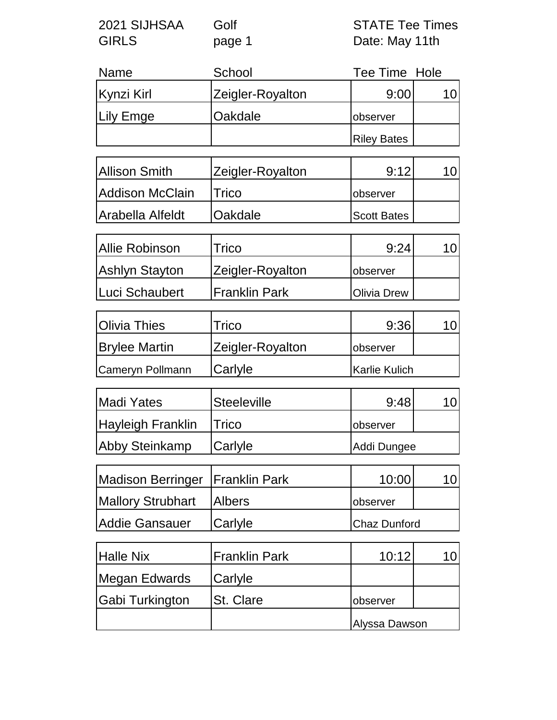| 2021 SIJHSAA | Golf   | <b>STATE Tee Times</b> |
|--------------|--------|------------------------|
| <b>GIRLS</b> | page 1 | Date: May 11th         |

| <b>Name</b> | School           | Tee Time Hole      |  |
|-------------|------------------|--------------------|--|
| Kynzi Kirl  | Zeigler-Royalton | 9:00               |  |
| Lily Emge   | Oakdale          | observer           |  |
|             |                  | <b>Riley Bates</b> |  |

| Allison Smith    | Zeigler-Royalton | 9:12               |  |
|------------------|------------------|--------------------|--|
| Addison McClain  | Trico            | <b>observer</b>    |  |
| Arabella Alfeldt | <b>Oakdale</b>   | <b>Scott Bates</b> |  |

| Allie Robinson        | Trico                 | 9:24                |  |
|-----------------------|-----------------------|---------------------|--|
| <b>Ashlyn Stayton</b> | Zeigler-Royalton      | observer            |  |
| Luci Schaubert        | <b>IFranklin Park</b> | <b>IOlivia Drew</b> |  |

| <b>Olivia Thies</b>     | Trico                   | 9:36                 |  |
|-------------------------|-------------------------|----------------------|--|
| <b>Brylee Martin</b>    | <b>Zeigler-Royalton</b> | <b>observer</b>      |  |
| <b>Cameryn Pollmann</b> | <b>Carlyle</b>          | <b>Karlie Kulich</b> |  |

| <b>Madi Yates</b> | <b>Steeleville</b> | 9:48        |  |
|-------------------|--------------------|-------------|--|
| Hayleigh Franklin | <b>ITrico</b>      | observer    |  |
| Abby Steinkamp    | <b>Carlyle</b>     | Addi Dungee |  |

| Madison Berringer   Franklin Park |                | 10:00               |  |
|-----------------------------------|----------------|---------------------|--|
| Mallory Strubhart                 | <b>Albers</b>  | <b>lobserver</b>    |  |
| Addie Gansauer                    | <b>Carlyle</b> | <b>Chaz Dunford</b> |  |

| <b>Halle Nix</b> | <b>Franklin Park</b> | 10:12         |  |
|------------------|----------------------|---------------|--|
| Megan Edwards    | Carlyle              |               |  |
| Gabi Turkington  | <b>St. Clare</b>     | observer      |  |
|                  |                      | Alyssa Dawson |  |